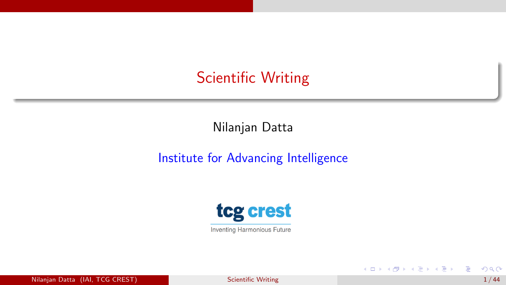### <span id="page-0-0"></span>Scientific Writing

Nilanjan Datta

### Institute for Advancing Intelligence



Nilanjan Datta (IAI, TCG CREST) [Scientific Writing](#page-51-0) 1/44

イロト 不倒 トイ君 トイ君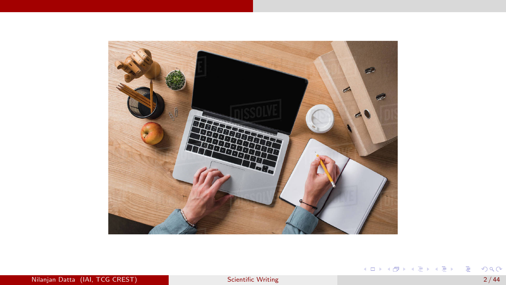

**Kロト K個 K K ミト K ミト 「ミ」 の Q (^**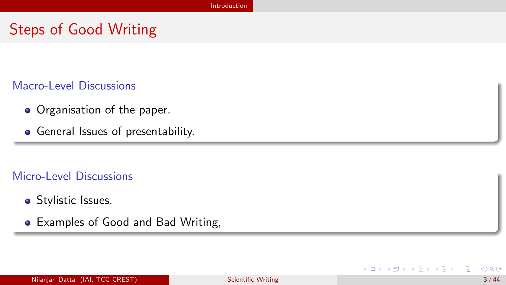### <span id="page-2-0"></span>Steps of Good Writing

#### Macro-Level Discussions

- Organisation of the paper.
- General Issues of presentability.

#### Micro-Level Discussions

- **•** Stylistic Issues.
- Examples of Good and Bad Writing,

€⊡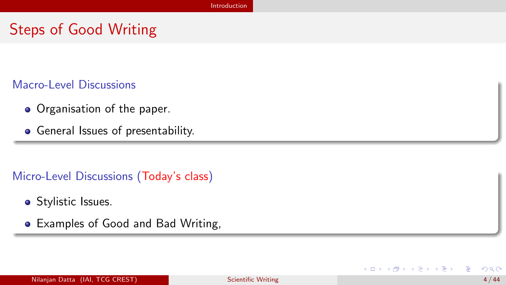### Steps of Good Writing

Macro-Level Discussions

- Organisation of the paper.
- **•** General Issues of presentability.

Micro-Level Discussions (Today's class)

- Stylistic Issues.
- Examples of Good and Bad Writing,

€⊡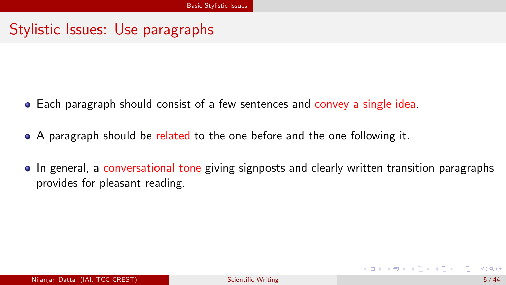### <span id="page-4-0"></span>Stylistic Issues: Use paragraphs

- Each paragraph should consist of a few sentences and convey a single idea.
- A paragraph should be related to the one before and the one following it.
- In general, a conversational tone giving signposts and clearly written transition paragraphs provides for pleasant reading.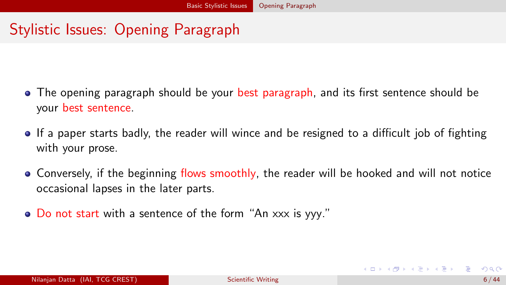### <span id="page-5-0"></span>Stylistic Issues: Opening Paragraph

- The opening paragraph should be your best paragraph, and its first sentence should be your best sentence.
- If a paper starts badly, the reader will wince and be resigned to a difficult job of fighting with your prose.
- Conversely, if the beginning flows smoothly, the reader will be hooked and will not notice occasional lapses in the later parts.
- Do not start with a sentence of the form "An xxx is yyy."

イロト イ押 トイヨ トイヨト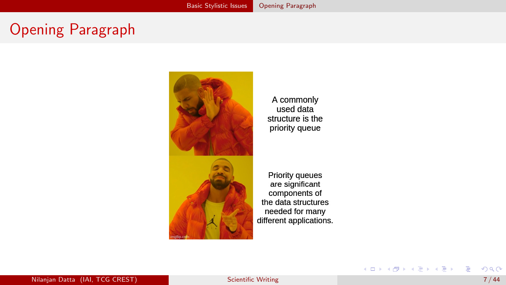## Opening Paragraph



A commonly used data structure is the priority queue

Priority queues are significant components of the data structures needed for many different applications.

重

イロト イ部 トイモ トイモト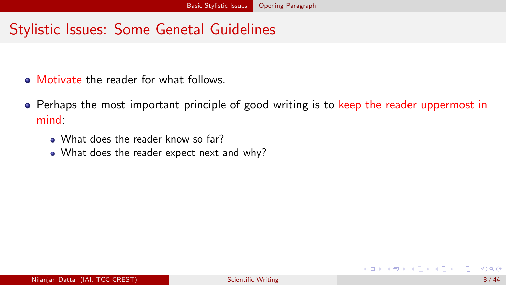### Stylistic Issues: Some Genetal Guidelines

- Motivate the reader for what follows
- Perhaps the most important principle of good writing is to keep the reader uppermost in mind:
	- What does the reader know so far?
	- What does the reader expect next and why?

 $\leftarrow$   $\leftarrow$   $\leftarrow$   $\leftarrow$   $\leftarrow$   $\leftarrow$   $\leftarrow$   $\leftarrow$   $\leftarrow$   $\leftarrow$   $\leftarrow$   $\leftarrow$   $\leftarrow$   $\leftarrow$   $\leftarrow$   $\leftarrow$   $\leftarrow$   $\leftarrow$   $\leftarrow$   $\leftarrow$   $\leftarrow$   $\leftarrow$   $\leftarrow$   $\leftarrow$   $\leftarrow$   $\leftarrow$   $\leftarrow$   $\leftarrow$   $\leftarrow$   $\leftarrow$   $\leftarrow$   $\leftarrow$   $\leftarrow$   $\leftarrow$   $\leftarrow$   $\leftarrow$   $\leftarrow$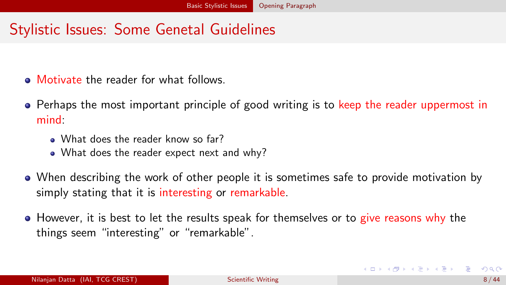### Stylistic Issues: Some Genetal Guidelines

- Motivate the reader for what follows
- Perhaps the most important principle of good writing is to keep the reader uppermost in mind:
	- What does the reader know so far?
	- What does the reader expect next and why?
- When describing the work of other people it is sometimes safe to provide motivation by simply stating that it is interesting or remarkable.
- $\bullet$  However, it is best to let the results speak for themselves or to give reasons why the things seem "interesting" or "remarkable".

イロト イ押ト イヨト イヨト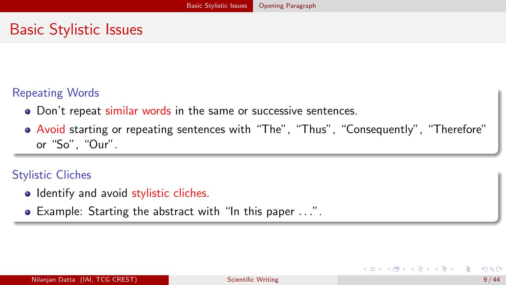### Basic Stylistic Issues

### Repeating Words

- Don't repeat similar words in the same or successive sentences.
- Avoid starting or repeating sentences with "The", "Thus", "Consequently", "Therefore" or "So", "Our".

### Stylistic Cliches

- Identify and avoid stylistic cliches.
- Example: Starting the abstract with "In this paper . . .".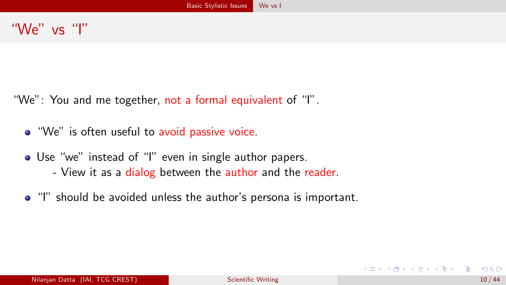### <span id="page-10-0"></span>"We" vs "I"

"We": You and me together, not a formal equivalent of "I".

- "We" is often useful to avoid passive voice.
- Use "we" instead of "I" even in single author papers.
	- View it as a dialog between the author and the reader.
- "I" should be avoided unless the author's persona is important.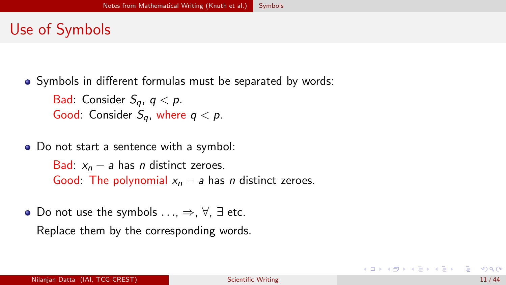### <span id="page-11-0"></span>Use of Symbols

• Symbols in different formulas must be separated by words:

Bad: Consider  $S_a$ ,  $q < p$ . Good: Consider  $S_a$ , where  $q < p$ .

• Do not start a sentence with a symbol:

Bad:  $x_n - a$  has *n* distinct zeroes. Good: The polynomial  $x_n - a$  has *n* distinct zeroes.

• Do not use the symbols  $\dots \Rightarrow Y$ ,  $\exists$  etc. Replace them by the corresponding words.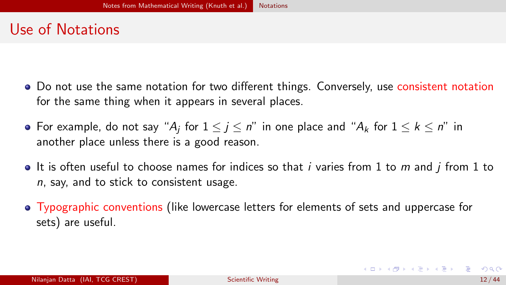### <span id="page-12-0"></span>Use of Notations

- Do not use the same notation for two different things. Conversely, use consistent notation for the same thing when it appears in several places.
- For example, do not say " $A_j$  for  $1 \leq j \leq n$ " in one place and " $A_k$  for  $1 \leq k \leq n$ " in another place unless there is a good reason.
- It is often useful to choose names for indices so that i varies from 1 to m and i from 1 to n, say, and to stick to consistent usage.
- Typographic conventions (like lowercase letters for elements of sets and uppercase for sets) are useful.

イロン イ部ン イヨン イヨン 一君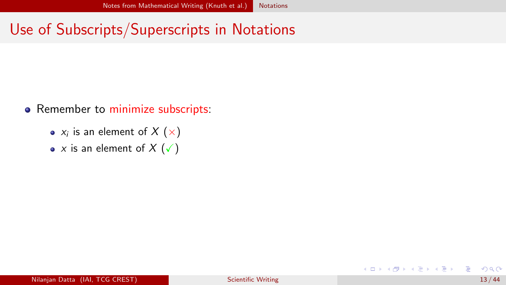- Remember to minimize subscripts:
	- $\mathsf{x}_i$  is an element of  $X$   $(\times)$
	- x is an element of  $X(\sqrt{x})$

э

メロトメ 倒 トメ ミトメ ミト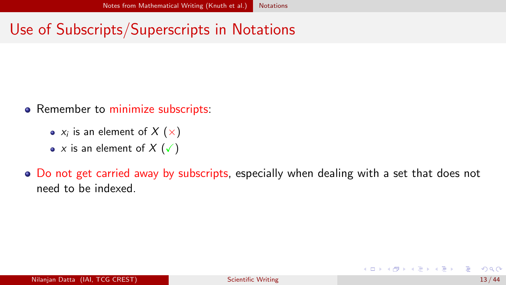- Remember to minimize subscripts:
	- $\mathsf{x}_i$  is an element of  $X$   $(\times)$
	- x is an element of  $X(\sqrt{x})$
- Do not get carried away by subscripts, especially when dealing with a set that does not need to be indexed.

 $\left\{ \begin{array}{ccc} 4 & \Box \end{array} \right. \rightarrow \left\{ \begin{array}{ccc} \overline{49} & \rightarrow & 4 & \overline{\Box} \end{array} \right. \rightarrow \left\{ \begin{array}{ccc} \overline{2} & \rightarrow & 4 & \overline{\Box} \end{array} \right. \nonumber$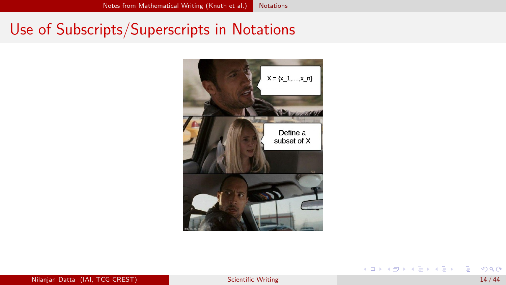

 $299$ 

重

イロト イ部 トイヨ トイヨト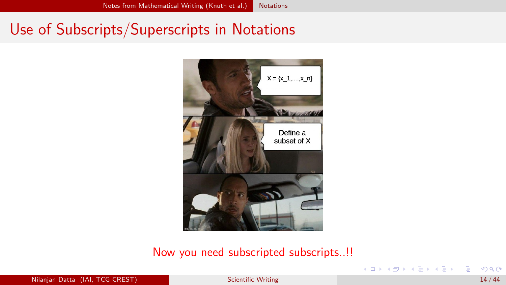

#### Now you need subscripted subscripts..!!

Nilanjan Datta (IAI, TCG CREST) [Scientific Writing](#page-0-0) 14 / 44

 $299$ 

€

メロトメ 倒 トメ ミトメ ミト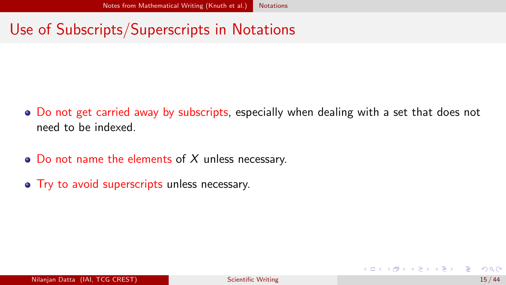- Do not get carried away by subscripts, especially when dealing with a set that does not need to be indexed.
- $\bullet$  Do not name the elements of X unless necessary.
- Try to avoid superscripts unless necessary.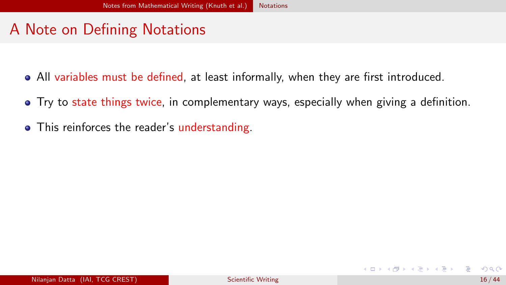### A Note on Defining Notations

- All variables must be defined, at least informally, when they are first introduced.
- Try to state things twice, in complementary ways, especially when giving a definition.
- This reinforces the reader's understanding.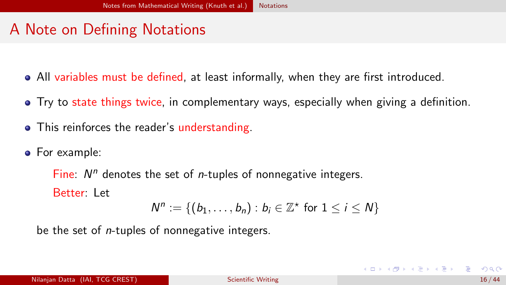## A Note on Defining Notations

- All variables must be defined, at least informally, when they are first introduced.
- Try to state things twice, in complementary ways, especially when giving a definition.
- This reinforces the reader's understanding.
- For example:

Fine:  $N<sup>n</sup>$  denotes the set of *n*-tuples of nonnegative integers. Better: Let

$$
N^n := \{(b_1, \ldots, b_n) : b_i \in \mathbb{Z}^{\star} \text{ for } 1 \leq i \leq N\}
$$

be the set of n-tuples of nonnegative integers.

イロト イ押ト イヨト イヨ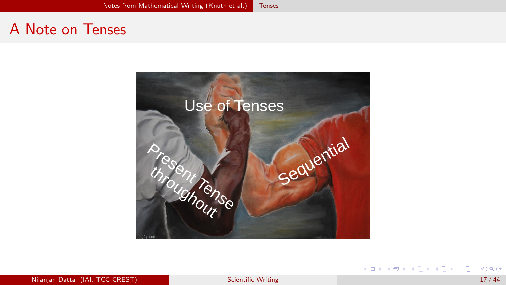### <span id="page-20-0"></span>A Note on Tenses



重

イロト イ部 トイモ トイモト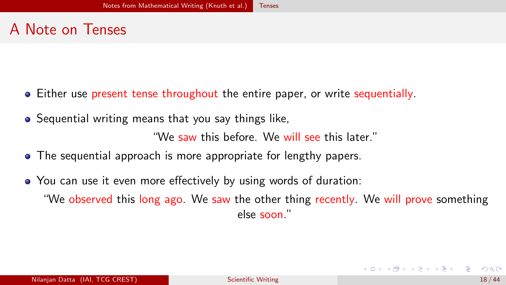### A Note on Tenses

- Either use present tense throughout the entire paper, or write sequentially.
- Sequential writing means that you say things like,

"We saw this before. We will see this later."

- The sequential approach is more appropriate for lengthy papers.
- You can use it even more effectively by using words of duration: "We observed this long ago. We saw the other thing recently. We will prove something else soon."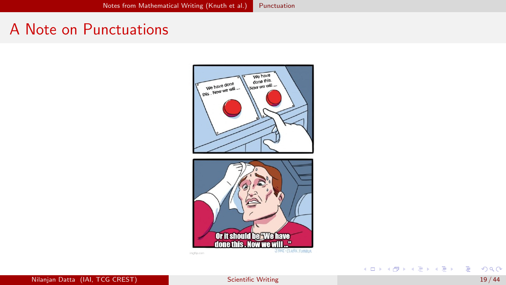### <span id="page-22-0"></span>A Note on Punctuations



ingtip.com

造

イロメ イ部メ イヨメ イヨメー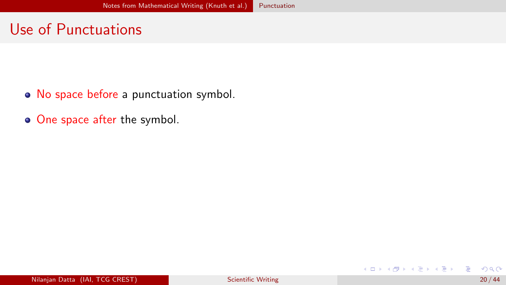- No space before a punctuation symbol.
- One space after the symbol.

目

イロト イ部 トイヨ トイヨト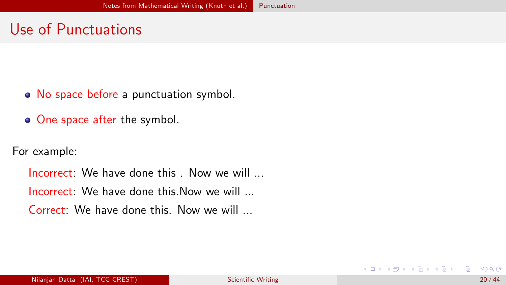- No space before a punctuation symbol.
- One space after the symbol.

For example:

Incorrect: We have done this . Now we will ... Incorrect: We have done this Now we will Correct: We have done this. Now we will ...

G.

4 0 8 → 母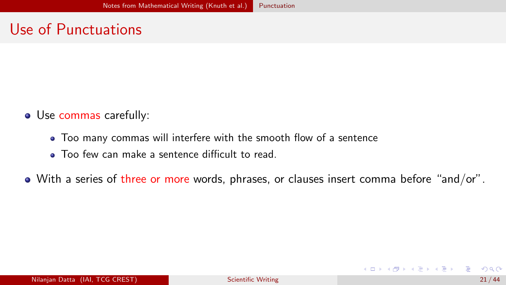- Use commas carefully:
	- Too many commas will interfere with the smooth flow of a sentence
	- Too few can make a sentence difficult to read.
- With a series of three or more words, phrases, or clauses insert comma before "and/or".

イロト イ押ト イヨト イヨト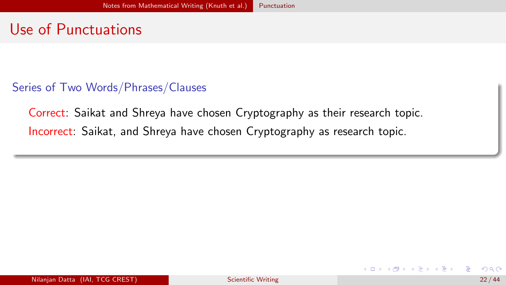### Series of Two Words/Phrases/Clauses

Correct: Saikat and Shreya have chosen Cryptography as their research topic. Incorrect: Saikat, and Shreya have chosen Cryptography as research topic.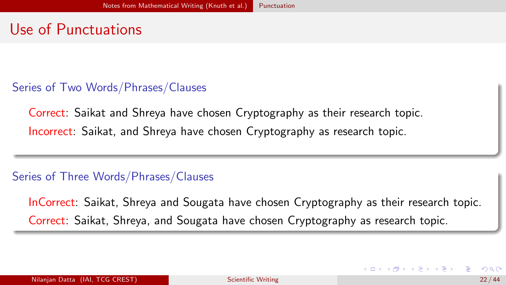Series of Two Words/Phrases/Clauses

Correct: Saikat and Shreya have chosen Cryptography as their research topic. Incorrect: Saikat, and Shreya have chosen Cryptography as research topic.

Series of Three Words/Phrases/Clauses

InCorrect: Saikat, Shreya and Sougata have chosen Cryptography as their research topic. Correct: Saikat, Shreya, and Sougata have chosen Cryptography as research topic.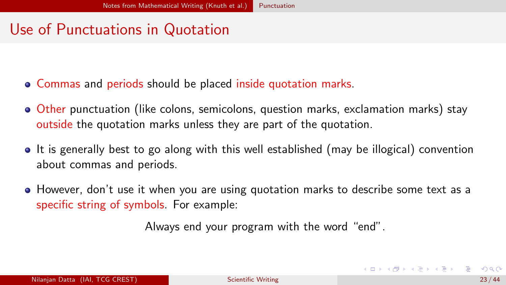### Use of Punctuations in Quotation

- Commas and periods should be placed inside quotation marks.
- Other punctuation (like colons, semicolons, question marks, exclamation marks) stay outside the quotation marks unless they are part of the quotation.
- It is generally best to go along with this well established (may be illogical) convention about commas and periods.
- However, don't use it when you are using quotation marks to describe some text as a specific string of symbols. For example:

Always end your program with the word "end".

イロト イ押ト イヨト イヨト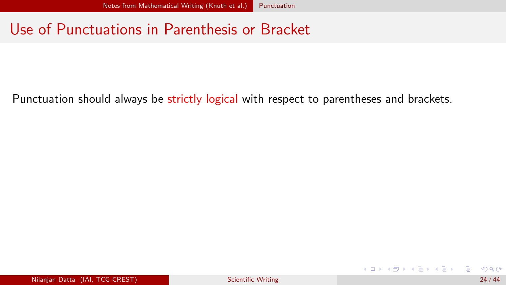Punctuation should always be strictly logical with respect to parentheses and brackets.

イロト 不倒 トイ君 トイ君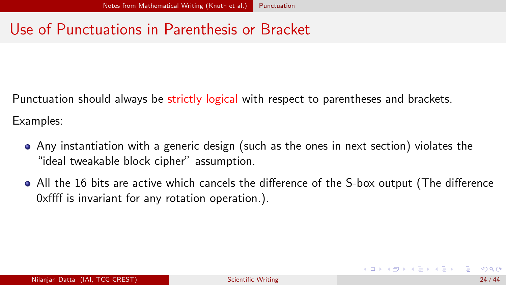Punctuation should always be strictly logical with respect to parentheses and brackets. Examples:

- Any instantiation with a generic design (such as the ones in next section) violates the "ideal tweakable block cipher" assumption.
- All the 16 bits are active which cancels the difference of the S-box output (The difference 0xffff is invariant for any rotation operation.).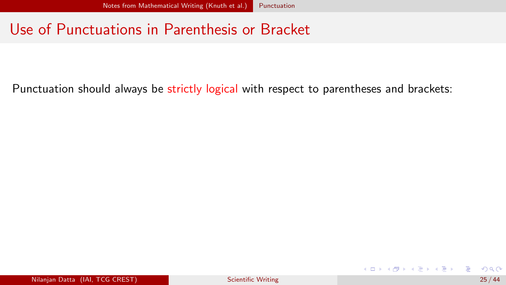Punctuation should always be strictly logical with respect to parentheses and brackets:

イロト 不倒 トイ君 トイ君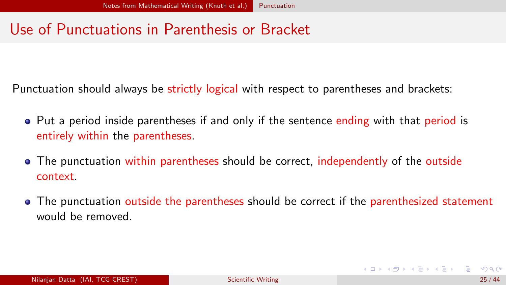Punctuation should always be strictly logical with respect to parentheses and brackets:

- Put a period inside parentheses if and only if the sentence ending with that period is entirely within the parentheses.
- The punctuation within parentheses should be correct, independently of the outside context.
- The punctuation outside the parentheses should be correct if the parenthesized statement would be removed.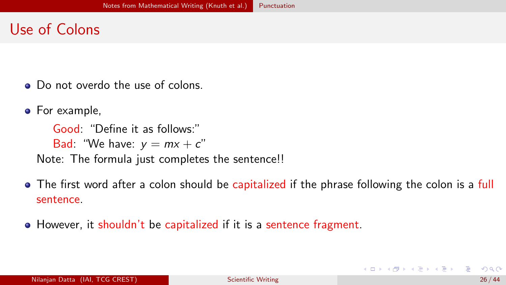### Use of Colons

- Do not overdo the use of colons.
- For example,

Good: "Define it as follows:"

Bad: "We have:  $y = mx + c$ "

Note: The formula just completes the sentence!!

- The first word after a colon should be capitalized if the phrase following the colon is a full sentence.
- However, it shouldn't be capitalized if it is a sentence fragment.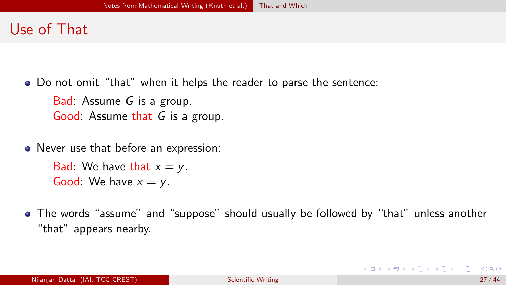### <span id="page-34-0"></span>Use of That

Do not omit "that" when it helps the reader to parse the sentence:

Bad: Assume G is a group. Good: Assume that G is a group.

• Never use that before an expression:

Bad: We have that  $x = y$ . Good: We have  $x = y$ .

The words "assume" and "suppose" should usually be followed by "that" unless another "that" appears nearby.

 $A \Box B$   $A \Box B$   $A \Box B$   $A \Box B$   $A \Box B$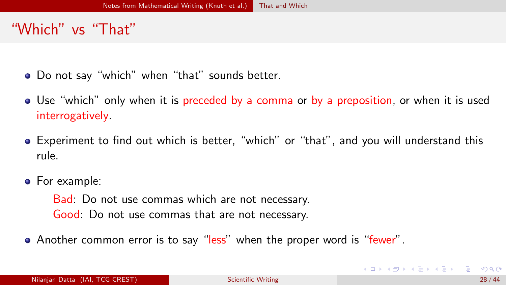### "Which" vs "That"

- Do not say "which" when "that" sounds better.
- Use "which" only when it is preceded by a comma or by a preposition, or when it is used interrogatively.
- Experiment to find out which is better, "which" or "that", and you will understand this rule.
- **•** For example:

Bad: Do not use commas which are not necessary. Good: Do not use commas that are not necessary.

• Another common error is to say "less" when the proper word is "fewer".

イロト イ押ト イヨト イヨト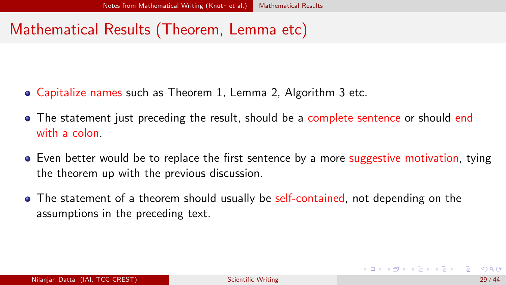### <span id="page-36-0"></span>Mathematical Results (Theorem, Lemma etc)

- Capitalize names such as Theorem 1, Lemma 2, Algorithm 3 etc.
- The statement just preceding the result, should be a complete sentence or should end with a colon.
- Even better would be to replace the first sentence by a more suggestive motivation, tying the theorem up with the previous discussion.
- The statement of a theorem should usually be self-contained, not depending on the assumptions in the preceding text.

イロト イ押ト イヨト イヨト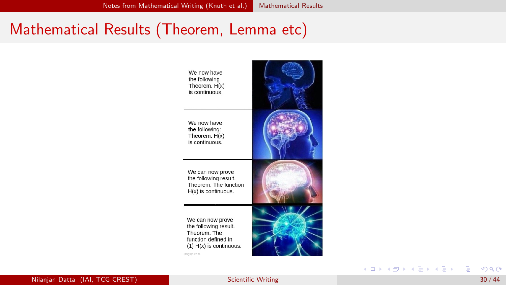### Mathematical Results (Theorem, Lemma etc)



造

イロト イ部 トイヨ トイヨト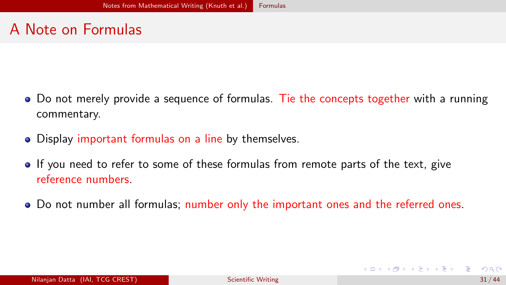### <span id="page-38-0"></span>A Note on Formulas

- Do not merely provide a sequence of formulas. Tie the concepts together with a running commentary.
- Display important formulas on a line by themselves.
- If you need to refer to some of these formulas from remote parts of the text, give reference numbers.
- Do not number all formulas; number only the important ones and the referred ones.

 $A \Box B$   $A \Box B$   $A \Box B$   $A \Box B$   $A \Box B$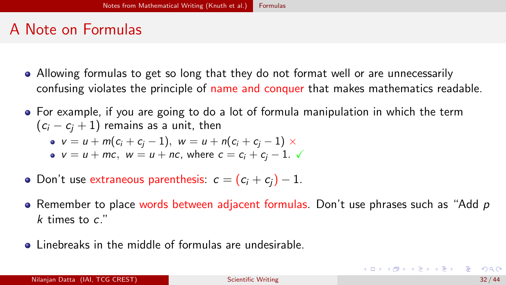### A Note on Formulas

- Allowing formulas to get so long that they do not format well or are unnecessarily confusing violates the principle of name and conquer that makes mathematics readable.
- For example, if you are going to do a lot of formula manipulation in which the term  $(c_i - c_i + 1)$  remains as a unit, then

• 
$$
v = u + m(c_i + c_j - 1), w = u + n(c_i + c_j - 1) \times
$$

- $v = u + mc$ ,  $w = u + nc$ , where  $c = c_i + c_i 1$ .
- Don't use extraneous parenthesis:  $c = (c_i + c_j) 1$ .
- Remember to place words between adjacent formulas. Don't use phrases such as "Add  $p$  $k$  times to  $c$ ."
- Linebreaks in the middle of formulas are undesirable.

イロト イ母 トイミト イヨト ニヨー りんぴ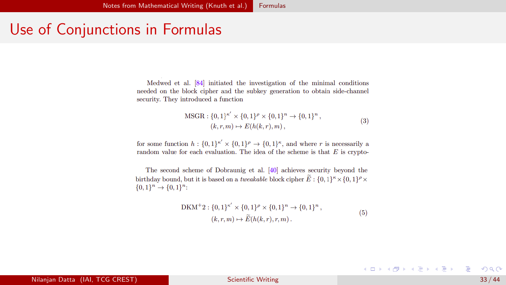### Use of Conjunctions in Formulas

Medwed et al. [84] initiated the investigation of the minimal conditions needed on the block cipher and the subkey generation to obtain side-channel security. They introduced a function

$$
\begin{aligned} \text{MSGR}: \{0,1\}^{\kappa'} \times \{0,1\}^p \times \{0,1\}^n \to \{0,1\}^n, \\ (k,r,m) &\mapsto E(h(k,r),m), \end{aligned} \tag{3}
$$

for some function  $h: \{0,1\}^{\kappa'} \times \{0,1\}^{\rho} \to \{0,1\}^{\kappa}$ , and where r is necessarily a random value for each evaluation. The idea of the scheme is that  $E$  is crypto-

The second scheme of Dobraunig et al.  $[40]$  achieves security beyond the birthday bound, but it is based on a *tweakable* block cipher  $\widetilde{E}: \{0,1\}^n \times \{0,1\}^{\rho} \times$  ${0,1}^n \rightarrow {0,1}^n$ :

DKM<sup>+</sup>2: 
$$
\{0, 1\}^{n'} \times \{0, 1\}^{n} \times \{0, 1\}^{n} \to \{0, 1\}^{n}
$$
,  
\n $(k, r, m) \mapsto \widetilde{E}(h(k, r), r, m)$ . (5)

э

イロト イ部 トイヨ トイヨト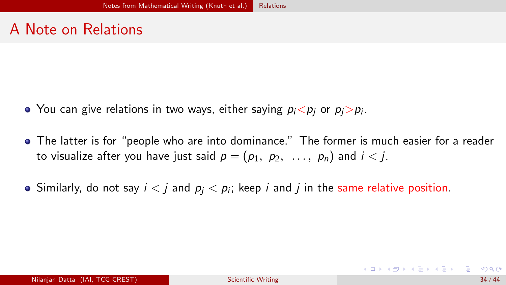### <span id="page-41-0"></span>A Note on Relations

- You can give relations in two ways, either saying  $p_i{\lt} p_j$  or  $p_j{>}p_i$ .
- The latter is for "people who are into dominance." The former is much easier for a reader to visualize after you have just said  $p = (p_1, p_2, \ldots, p_n)$  and  $i < j$ .
- Similarly, do not say  $i < j$  and  $p_j < p_i$ ; keep  $i$  and  $j$  in the same relative position.

K ロ ▶ K 個 ▶ K 로 ▶ K 로 ▶ ○ 로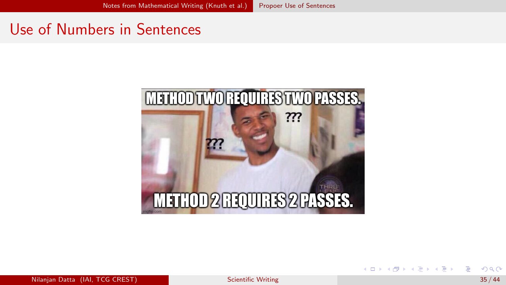<span id="page-42-0"></span>

4 0 8

 $\mathcal{A} \oplus \mathcal{B}$  and  $\mathcal{A} \oplus \mathcal{B}$  and  $\mathcal{B}$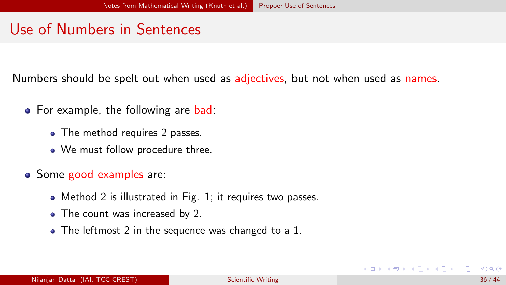Numbers should be spelt out when used as adjectives, but not when used as names.

- For example, the following are bad:
	- The method requires 2 passes.
	- We must follow procedure three.
- Some good examples are:
	- Method 2 is illustrated in Fig. 1; it requires two passes.
	- The count was increased by 2.
	- The leftmost 2 in the sequence was changed to a 1.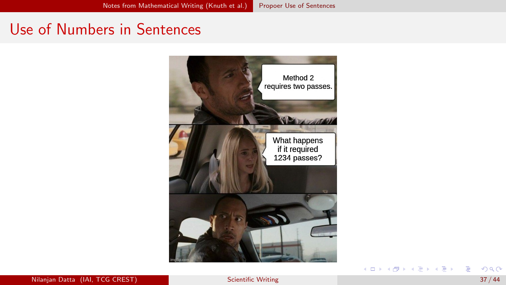

重

イロト イ部 トイヨ トイヨト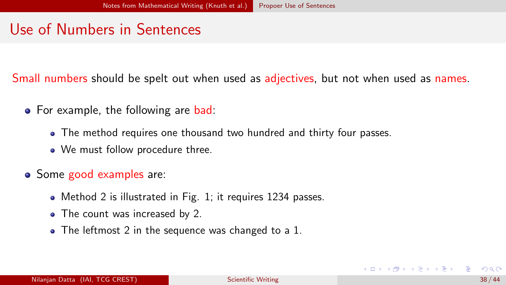Small numbers should be spelt out when used as adjectives, but not when used as names.

- For example, the following are bad:
	- The method requires one thousand two hundred and thirty four passes.
	- We must follow procedure three.
- Some good examples are:
	- Method 2 is illustrated in Fig. 1; it requires 1234 passes.
	- The count was increased by 2.
	- The leftmost 2 in the sequence was changed to a 1.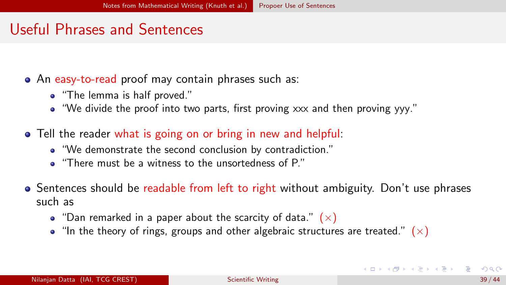### Useful Phrases and Sentences

- An easy-to-read proof may contain phrases such as:
	- "The lemma is half proved."
	- "We divide the proof into two parts, first proving xxx and then proving yyy."
- Tell the reader what is going on or bring in new and helpful:
	- "We demonstrate the second conclusion by contradiction."
	- "There must be a witness to the unsortedness of P."
- Sentences should be readable from left to right without ambiguity. Don't use phrases such as
	- "Dan remarked in a paper about the scarcity of data."  $(x)$
	- "In the theory of rings, groups and other algebraic structures are treated."  $(x)$

イロト イ押ト イヨト イヨト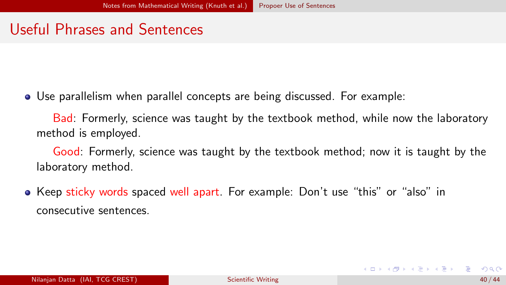### Useful Phrases and Sentences

Use parallelism when parallel concepts are being discussed. For example:

Bad: Formerly, science was taught by the textbook method, while now the laboratory method is employed.

Good: Formerly, science was taught by the textbook method; now it is taught by the laboratory method.

• Keep sticky words spaced well apart. For example: Don't use "this" or "also" in consecutive sentences.

イロト イ押ト イヨト イヨト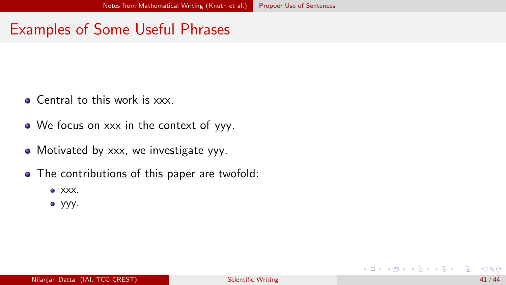### Examples of Some Useful Phrases

- **C**entral to this work is xxx.
- We focus on xxx in the context of yyy.
- Motivated by xxx, we investigate yyy.
- The contributions of this paper are twofold:
	- **a** xxx.
	- $\bullet$  yyy.

э

 $\leftarrow$   $\leftarrow$   $\leftarrow$   $\leftarrow$   $\leftarrow$   $\leftarrow$   $\leftarrow$   $\leftarrow$   $\leftarrow$   $\leftarrow$   $\leftarrow$   $\leftarrow$   $\leftarrow$   $\leftarrow$   $\leftarrow$   $\leftarrow$   $\leftarrow$   $\leftarrow$   $\leftarrow$   $\leftarrow$   $\leftarrow$   $\leftarrow$   $\leftarrow$   $\leftarrow$   $\leftarrow$   $\leftarrow$   $\leftarrow$   $\leftarrow$   $\leftarrow$   $\leftarrow$   $\leftarrow$   $\leftarrow$   $\leftarrow$   $\leftarrow$   $\leftarrow$   $\leftarrow$   $\leftarrow$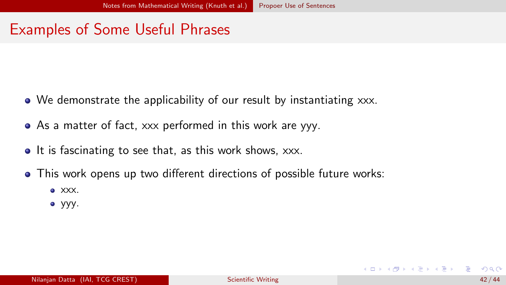### Examples of Some Useful Phrases

- We demonstrate the applicability of our result by instantiating xxx.
- As a matter of fact, xxx performed in this work are yyy.
- It is fascinating to see that, as this work shows, xxx.
- This work opens up two different directions of possible future works:
	- **a** xxx.
	- $\bullet$  yyy.

 $A \Box B$   $A \Box B$   $A \Box B$   $A \Box B$   $A \Box B$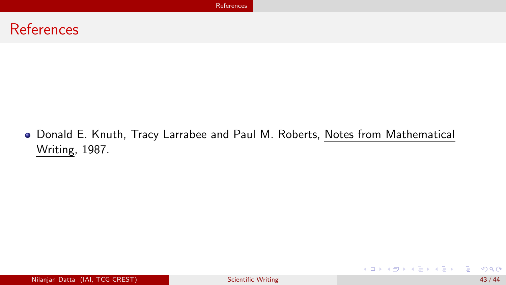<span id="page-50-0"></span>![](_page_50_Picture_1.jpeg)

Donald E. Knuth, Tracy Larrabee and Paul M. Roberts, Notes from Mathematical Writing, 1987.

造

イロト イ部 トイヨ トイヨト